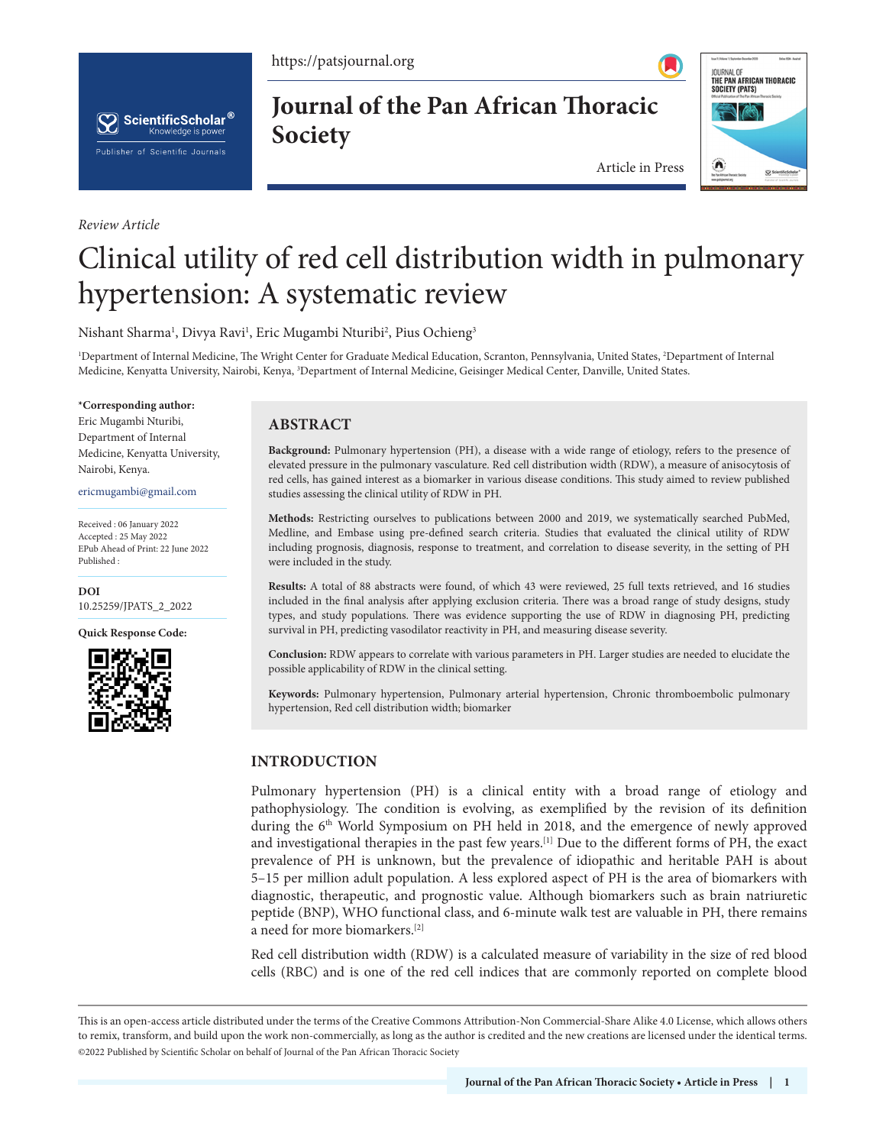https://patsjournal.org



*Review Article*

**Journal of the Pan African Thoracic Society**



Article in Press

# Clinical utility of red cell distribution width in pulmonary hypertension: A systematic review

Nishant Sharma<sup>1</sup>, Divya Ravi<sup>1</sup>, Eric Mugambi Nturibi<sup>2</sup>, Pius Ochieng<sup>3</sup>

<sup>1</sup>Department of Internal Medicine, The Wright Center for Graduate Medical Education, Scranton, Pennsylvania, United States, <sup>2</sup>Department of Internal Medicine, Kenyatta University, Nairobi, Kenya, <sup>3</sup>Department of Internal Medicine, Geisinger Medical Center, Danville, United States.

#### **\*Corresponding author:**

Eric Mugambi Nturibi, Department of Internal Medicine, Kenyatta University, Nairobi, Kenya.

ericmugambi@gmail.com

Received : 06 January 2022 Accepted : 25 May 2022 EPub Ahead of Print: 22 June 2022 Published :

**DOI** [10.25259/JPATS\\_2\\_2022](https://dx.doi.org/10.25259/JPATS_2_2022)

**Quick Response Code:**



# **ABSTRACT**

**Background:** Pulmonary hypertension (PH), a disease with a wide range of etiology, refers to the presence of elevated pressure in the pulmonary vasculature. Red cell distribution width (RDW), a measure of anisocytosis of red cells, has gained interest as a biomarker in various disease conditions. This study aimed to review published studies assessing the clinical utility of RDW in PH.

**Methods:** Restricting ourselves to publications between 2000 and 2019, we systematically searched PubMed, Medline, and Embase using pre-defined search criteria. Studies that evaluated the clinical utility of RDW including prognosis, diagnosis, response to treatment, and correlation to disease severity, in the setting of PH were included in the study.

**Results:** A total of 88 abstracts were found, of which 43 were reviewed, 25 full texts retrieved, and 16 studies included in the final analysis after applying exclusion criteria. There was a broad range of study designs, study types, and study populations. There was evidence supporting the use of RDW in diagnosing PH, predicting survival in PH, predicting vasodilator reactivity in PH, and measuring disease severity.

**Conclusion:** RDW appears to correlate with various parameters in PH. Larger studies are needed to elucidate the possible applicability of RDW in the clinical setting.

**Keywords:** Pulmonary hypertension, Pulmonary arterial hypertension, Chronic thromboembolic pulmonary hypertension, Red cell distribution width; biomarker

# **INTRODUCTION**

Pulmonary hypertension (PH) is a clinical entity with a broad range of etiology and pathophysiology. The condition is evolving, as exemplified by the revision of its definition during the 6th World Symposium on PH held in 2018, and the emergence of newly approved and investigational therapies in the past few years.[1] Due to the different forms of PH, the exact prevalence of PH is unknown, but the prevalence of idiopathic and heritable PAH is about 5–15 per million adult population. A less explored aspect of PH is the area of biomarkers with diagnostic, therapeutic, and prognostic value. Although biomarkers such as brain natriuretic peptide (BNP), WHO functional class, and 6-minute walk test are valuable in PH, there remains a need for more biomarkers.[2]

Red cell distribution width (RDW) is a calculated measure of variability in the size of red blood cells (RBC) and is one of the red cell indices that are commonly reported on complete blood

This is an open-access article distributed under the terms of the Creative Commons Attribution-Non Commercial-Share Alike 4.0 License, which allows others to remix, transform, and build upon the work non-commercially, as long as the author is credited and the new creations are licensed under the identical terms. ©2022 Published by Scientific Scholar on behalf of Journal of the Pan African Thoracic Society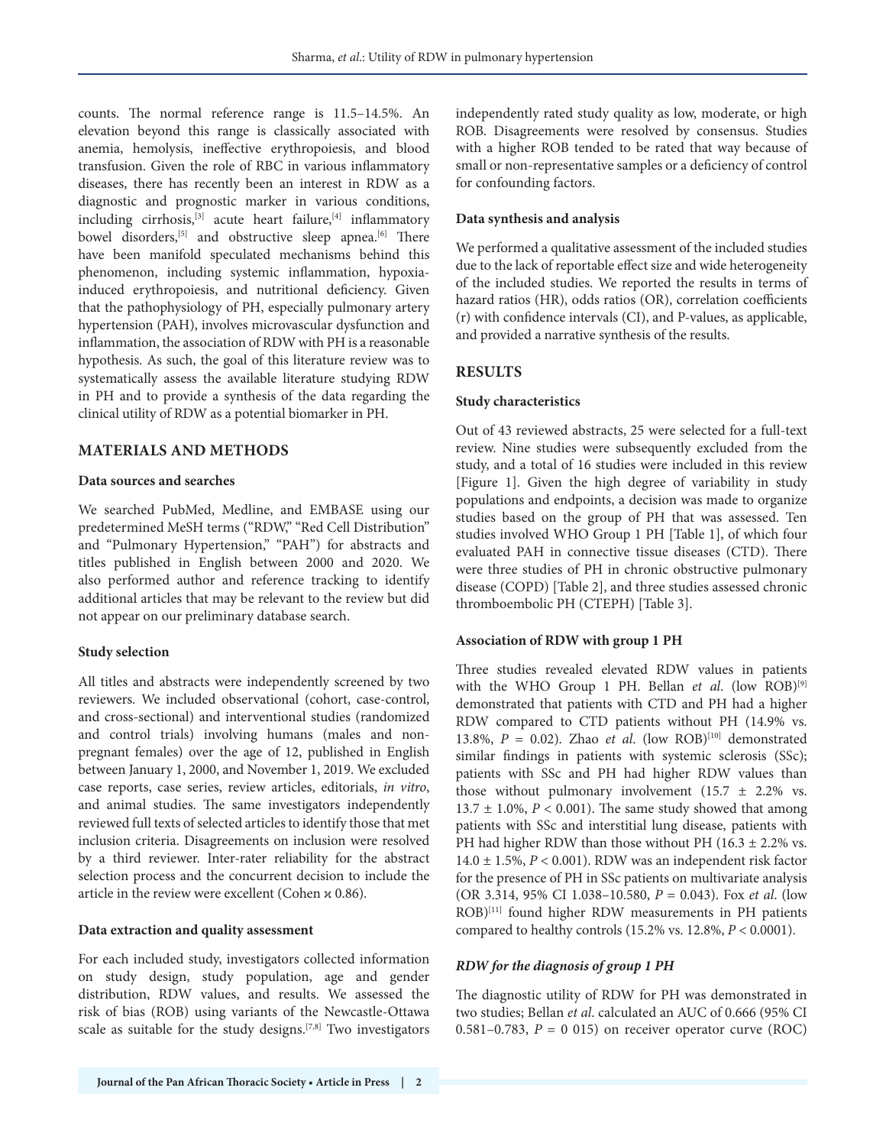counts. The normal reference range is 11.5–14.5%. An elevation beyond this range is classically associated with anemia, hemolysis, ineffective erythropoiesis, and blood transfusion. Given the role of RBC in various inflammatory diseases, there has recently been an interest in RDW as a diagnostic and prognostic marker in various conditions, including cirrhosis, $[3]$  acute heart failure, $[4]$  inflammatory bowel disorders,<sup>[5]</sup> and obstructive sleep apnea.<sup>[6]</sup> There have been manifold speculated mechanisms behind this phenomenon, including systemic inflammation, hypoxiainduced erythropoiesis, and nutritional deficiency. Given that the pathophysiology of PH, especially pulmonary artery hypertension (PAH), involves microvascular dysfunction and inflammation, the association of RDW with PH is a reasonable hypothesis. As such, the goal of this literature review was to systematically assess the available literature studying RDW in PH and to provide a synthesis of the data regarding the clinical utility of RDW as a potential biomarker in PH.

## **MATERIALS AND METHODS**

#### **Data sources and searches**

We searched PubMed, Medline, and EMBASE using our predetermined MeSH terms ("RDW," "Red Cell Distribution" and "Pulmonary Hypertension," "PAH") for abstracts and titles published in English between 2000 and 2020. We also performed author and reference tracking to identify additional articles that may be relevant to the review but did not appear on our preliminary database search.

## **Study selection**

All titles and abstracts were independently screened by two reviewers. We included observational (cohort, case-control, and cross-sectional) and interventional studies (randomized and control trials) involving humans (males and nonpregnant females) over the age of 12, published in English between January 1, 2000, and November 1, 2019. We excluded case reports, case series, review articles, editorials, *in vitro*, and animal studies. The same investigators independently reviewed full texts of selected articles to identify those that met inclusion criteria. Disagreements on inclusion were resolved by a third reviewer. Inter-rater reliability for the abstract selection process and the concurrent decision to include the article in the review were excellent (Cohen  $\kappa$  0.86).

## **Data extraction and quality assessment**

For each included study, investigators collected information on study design, study population, age and gender distribution, RDW values, and results. We assessed the risk of bias (ROB) using variants of the Newcastle-Ottawa scale as suitable for the study designs.[7,8] Two investigators independently rated study quality as low, moderate, or high ROB. Disagreements were resolved by consensus. Studies with a higher ROB tended to be rated that way because of small or non-representative samples or a deficiency of control for confounding factors.

## **Data synthesis and analysis**

We performed a qualitative assessment of the included studies due to the lack of reportable effect size and wide heterogeneity of the included studies. We reported the results in terms of hazard ratios (HR), odds ratios (OR), correlation coefficients (r) with confidence intervals (CI), and P-values, as applicable, and provided a narrative synthesis of the results.

# **RESULTS**

## **Study characteristics**

Out of 43 reviewed abstracts, 25 were selected for a full-text review. Nine studies were subsequently excluded from the study, and a total of 16 studies were included in this review [Figure 1]. Given the high degree of variability in study populations and endpoints, a decision was made to organize studies based on the group of PH that was assessed. Ten studies involved WHO Group 1 PH [Table 1], of which four evaluated PAH in connective tissue diseases (CTD). There were three studies of PH in chronic obstructive pulmonary disease (COPD) [Table 2], and three studies assessed chronic thromboembolic PH (CTEPH) [Table 3].

## **Association of RDW with group 1 PH**

Three studies revealed elevated RDW values in patients with the WHO Group 1 PH. Bellan *et al.* (low ROB)<sup>[9]</sup> demonstrated that patients with CTD and PH had a higher RDW compared to CTD patients without PH (14.9% vs. 13.8%,  $P = 0.02$ ). Zhao *et al.* (low ROB)<sup>[10]</sup> demonstrated similar findings in patients with systemic sclerosis (SSc); patients with SSc and PH had higher RDW values than those without pulmonary involvement  $(15.7 \pm 2.2\% \text{ vs.}$ 13.7  $\pm$  1.0%,  $P < 0.001$ ). The same study showed that among patients with SSc and interstitial lung disease, patients with PH had higher RDW than those without PH (16.3  $\pm$  2.2% vs. 14.0 ± 1.5%, *P* < 0.001). RDW was an independent risk factor for the presence of PH in SSc patients on multivariate analysis (OR 3.314, 95% CI 1.038–10.580, *P* = 0.043). Fox *et al*. (low ROB)[11] found higher RDW measurements in PH patients compared to healthy controls (15.2% vs. 12.8%, *P* < 0.0001).

## *RDW for the diagnosis of group 1 PH*

The diagnostic utility of RDW for PH was demonstrated in two studies; Bellan *et al*. calculated an AUC of 0.666 (95% CI 0.581–0.783,  $P = 0$  015) on receiver operator curve (ROC)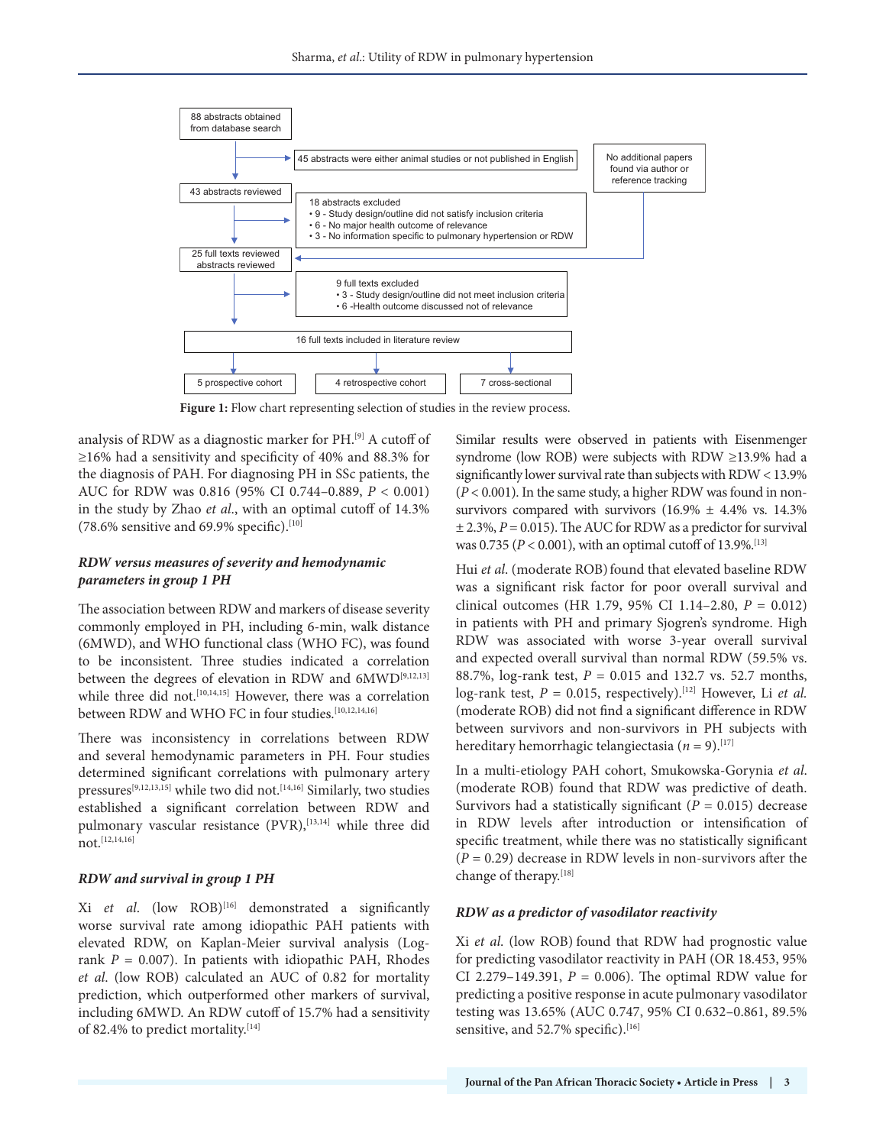

**Figure 1:** Flow chart representing selection of studies in the review process.

analysis of RDW as a diagnostic marker for PH.[9] A cutoff of ≥16% had a sensitivity and specificity of 40% and 88.3% for the diagnosis of PAH. For diagnosing PH in SSc patients, the AUC for RDW was 0.816 (95% CI 0.744–0.889, *P* < 0.001) in the study by Zhao *et al*., with an optimal cutoff of 14.3% (78.6% sensitive and 69.9% specific).<sup>[10]</sup>

#### *RDW versus measures of severity and hemodynamic parameters in group 1 PH*

The association between RDW and markers of disease severity commonly employed in PH, including 6-min, walk distance (6MWD), and WHO functional class (WHO FC), was found to be inconsistent. Three studies indicated a correlation between the degrees of elevation in RDW and 6MWD[9,12,13] while three did not.<sup>[10,14,15]</sup> However, there was a correlation between RDW and WHO FC in four studies.<sup>[10,12,14,16]</sup>

There was inconsistency in correlations between RDW and several hemodynamic parameters in PH. Four studies determined significant correlations with pulmonary artery pressures[9,12,13,15] while two did not.[14,16] Similarly, two studies established a significant correlation between RDW and pulmonary vascular resistance (PVR), [13,14] while three did not.[12,14,16]

#### *RDW and survival in group 1 PH*

Xi *et al*. (low ROB)[16] demonstrated a significantly worse survival rate among idiopathic PAH patients with elevated RDW, on Kaplan-Meier survival analysis (Logrank  $P = 0.007$ ). In patients with idiopathic PAH, Rhodes *et al*. (low ROB) calculated an AUC of 0.82 for mortality prediction, which outperformed other markers of survival, including 6MWD. An RDW cutoff of 15.7% had a sensitivity of 82.4% to predict mortality.<sup>[14]</sup>

Similar results were observed in patients with Eisenmenger syndrome (low ROB) were subjects with RDW ≥13.9% had a significantly lower survival rate than subjects with RDW < 13.9%  $(P < 0.001)$ . In the same study, a higher RDW was found in nonsurvivors compared with survivors  $(16.9\% \pm 4.4\% \text{ vs. } 14.3\%$  $\pm$  2.3%,  $P = 0.015$ ). The AUC for RDW as a predictor for survival was 0.735 ( $P < 0.001$ ), with an optimal cutoff of 13.9%.<sup>[13]</sup>

Hui *et al.* (moderate ROB) found that elevated baseline RDW was a significant risk factor for poor overall survival and clinical outcomes (HR 1.79, 95% CI 1.14–2.80, *P* = 0.012) in patients with PH and primary Sjogren's syndrome. High RDW was associated with worse 3-year overall survival and expected overall survival than normal RDW (59.5% vs. 88.7%, log-rank test, *P* = 0.015 and 132.7 vs. 52.7 months, log-rank test,  $P = 0.015$ , respectively).<sup>[12]</sup> However, Li *et al.* (moderate ROB) did not find a significant difference in RDW between survivors and non-survivors in PH subjects with hereditary hemorrhagic telangiectasia ( $n = 9$ ).<sup>[17]</sup>

In a multi-etiology PAH cohort, Smukowska-Gorynia *et al*. (moderate ROB) found that RDW was predictive of death. Survivors had a statistically significant  $(P = 0.015)$  decrease in RDW levels after introduction or intensification of specific treatment, while there was no statistically significant (*P* = 0.29) decrease in RDW levels in non-survivors after the change of therapy.[18]

#### *RDW as a predictor of vasodilator reactivity*

Xi *et al*. (low ROB) found that RDW had prognostic value for predicting vasodilator reactivity in PAH (OR 18.453, 95% CI 2.279–149.391,  $P = 0.006$ ). The optimal RDW value for predicting a positive response in acute pulmonary vasodilator testing was 13.65% (AUC 0.747, 95% CI 0.632–0.861, 89.5% sensitive, and 52.7% specific).<sup>[16]</sup>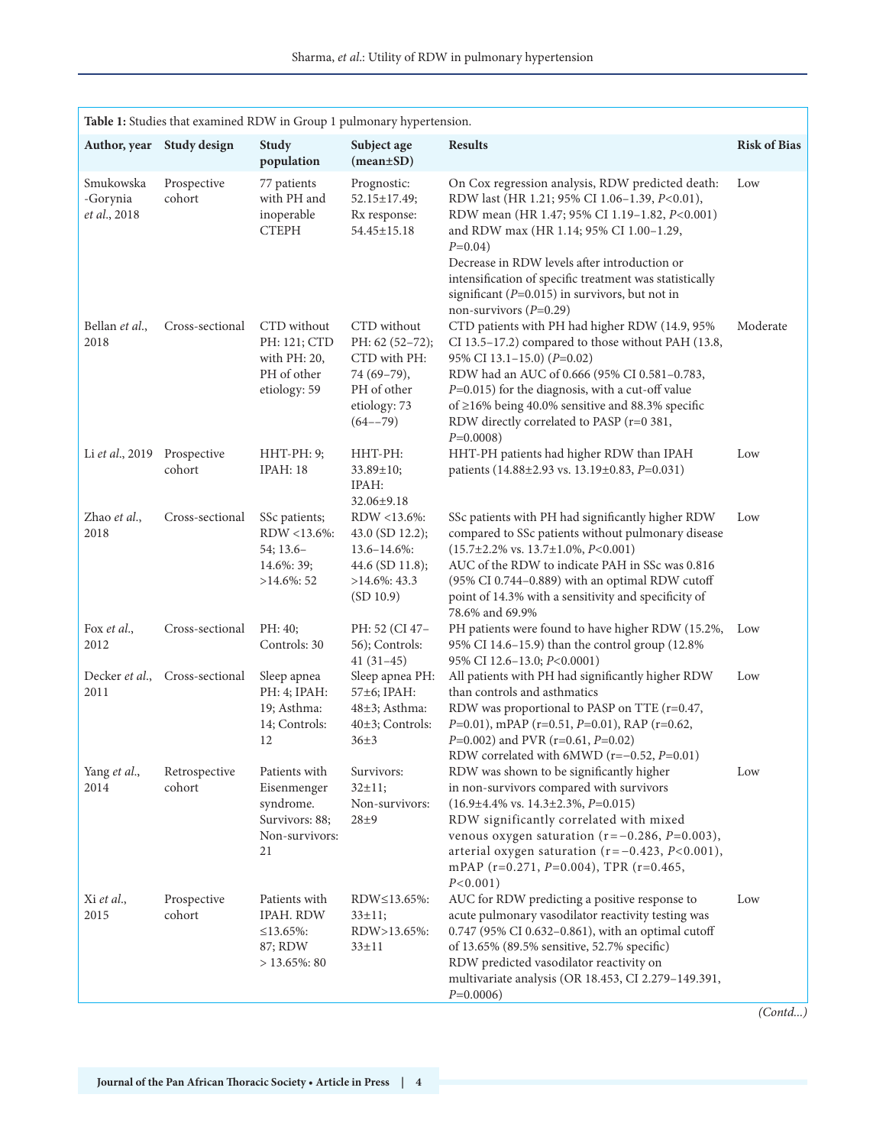| Table 1: Studies that examined RDW in Group 1 pulmonary hypertension. |                         |                                                                                     |                                                                                                              |                                                                                                                                                                                                                                                                                                                                                                                                          |                     |  |
|-----------------------------------------------------------------------|-------------------------|-------------------------------------------------------------------------------------|--------------------------------------------------------------------------------------------------------------|----------------------------------------------------------------------------------------------------------------------------------------------------------------------------------------------------------------------------------------------------------------------------------------------------------------------------------------------------------------------------------------------------------|---------------------|--|
| Author, year                                                          | Study design            | Study<br>population                                                                 | Subject age<br>$(mean \pm SD)$                                                                               | <b>Results</b>                                                                                                                                                                                                                                                                                                                                                                                           | <b>Risk of Bias</b> |  |
| Smukowska<br>-Gorynia<br>et al., 2018                                 | Prospective<br>cohort   | 77 patients<br>with PH and<br>inoperable<br><b>CTEPH</b>                            | Prognostic:<br>52.15±17.49;<br>Rx response:<br>54.45±15.18                                                   | On Cox regression analysis, RDW predicted death:<br>RDW last (HR 1.21; 95% CI 1.06-1.39, P<0.01),<br>RDW mean (HR 1.47; 95% CI 1.19-1.82, P<0.001)<br>and RDW max (HR 1.14; 95% CI 1.00-1.29,<br>$P=0.04$ )<br>Decrease in RDW levels after introduction or<br>intensification of specific treatment was statistically<br>significant ( $P=0.015$ ) in survivors, but not in<br>non-survivors $(P=0.29)$ | Low                 |  |
| Bellan et al.,<br>2018                                                | Cross-sectional         | CTD without<br>PH: 121; CTD<br>with $PH: 20$ ,<br>PH of other<br>etiology: 59       | CTD without<br>PH: 62 (52-72);<br>CTD with PH:<br>74 (69-79),<br>PH of other<br>etiology: 73<br>$(64 - -79)$ | CTD patients with PH had higher RDW (14.9, 95%<br>CI 13.5-17.2) compared to those without PAH (13.8,<br>95% CI 13.1-15.0) (P=0.02)<br>RDW had an AUC of 0.666 (95% CI 0.581-0.783,<br>$P=0.015$ ) for the diagnosis, with a cut-off value<br>of $\geq$ 16% being 40.0% sensitive and 88.3% specific<br>RDW directly correlated to PASP ( $r=0$ 381,<br>$P=0.0008$                                        | Moderate            |  |
| Li et al., 2019                                                       | Prospective<br>cohort   | HHT-PH: 9;<br><b>IPAH: 18</b>                                                       | HHT-PH:<br>33.89±10;<br>IPAH:<br>32.06±9.18                                                                  | HHT-PH patients had higher RDW than IPAH<br>patients (14.88±2.93 vs. 13.19±0.83, P=0.031)                                                                                                                                                                                                                                                                                                                | Low                 |  |
| Zhao et al.,<br>2018                                                  | Cross-sectional         | SSc patients;<br>RDW <13.6%:<br>$54; 13.6-$<br>14.6%: 39;<br>$>14.6\%$ : 52         | RDW <13.6%:<br>43.0 (SD 12.2);<br>$13.6 - 14.6\%$ :<br>44.6 (SD 11.8);<br>$>14.6\%$ : 43.3<br>(SD 10.9)      | SSc patients with PH had significantly higher RDW<br>compared to SSc patients without pulmonary disease<br>$(15.7 \pm 2.2\% \text{ vs. } 13.7 \pm 1.0\%, P < 0.001)$<br>AUC of the RDW to indicate PAH in SSc was 0.816<br>(95% CI 0.744-0.889) with an optimal RDW cutoff<br>point of 14.3% with a sensitivity and specificity of<br>78.6% and 69.9%                                                    | Low                 |  |
| Fox et al.,<br>2012                                                   | Cross-sectional         | PH: 40;<br>Controls: 30                                                             | PH: 52 (CI 47-<br>56); Controls:<br>$41(31-45)$                                                              | PH patients were found to have higher RDW (15.2%,<br>95% CI 14.6-15.9) than the control group (12.8%<br>95% CI 12.6-13.0; P<0.0001)                                                                                                                                                                                                                                                                      | Low                 |  |
| Decker et al.,<br>2011                                                | Cross-sectional         | Sleep apnea<br>PH: 4; IPAH:<br>19; Asthma:<br>14; Controls:<br>12                   | Sleep apnea PH:<br>57±6; IPAH:<br>48±3; Asthma:<br>40±3; Controls:<br>$36+3$                                 | All patients with PH had significantly higher RDW<br>than controls and asthmatics<br>RDW was proportional to PASP on TTE (r=0.47,<br>$P=0.01$ ), mPAP (r=0.51, P=0.01), RAP (r=0.62,<br>$P=0.002$ ) and PVR (r=0.61, P=0.02)<br>RDW correlated with 6MWD (r= $-0.52$ , P=0.01)                                                                                                                           | Low                 |  |
| Yang et al.,<br>2014                                                  | Retrospective<br>cohort | Patients with<br>Eisenmenger<br>syndrome.<br>Survivors: 88;<br>Non-survivors:<br>21 | Survivors:<br>$32 \pm 11;$<br>Non-survivors:<br>$28\pm9$                                                     | RDW was shown to be significantly higher<br>in non-survivors compared with survivors<br>$(16.9 \pm 4.4\% \text{ vs. } 14.3 \pm 2.3\%, P = 0.015)$<br>RDW significantly correlated with mixed<br>venous oxygen saturation ( $r = -0.286$ , $P = 0.003$ ),<br>arterial oxygen saturation ( $r = -0.423$ , $P < 0.001$ ),<br>mPAP ( $r=0.271$ , $P=0.004$ ), TPR ( $r=0.465$ ,<br>$P<0.001$ )               | Low                 |  |
| Xi et al.,<br>2015                                                    | Prospective<br>cohort   | Patients with<br><b>IPAH. RDW</b><br>≤13.65%:<br>87; RDW<br>$> 13.65\%$ : 80        | RDW≤13.65%:<br>$33 \pm 11;$<br>RDW>13.65%:<br>$33 \pm 11$                                                    | AUC for RDW predicting a positive response to<br>acute pulmonary vasodilator reactivity testing was<br>0.747 (95% CI 0.632-0.861), with an optimal cutoff<br>of 13.65% (89.5% sensitive, 52.7% specific)<br>RDW predicted vasodilator reactivity on<br>multivariate analysis (OR 18.453, CI 2.279-149.391,<br>$P=0.0006$                                                                                 | Low                 |  |

*(Contd...)*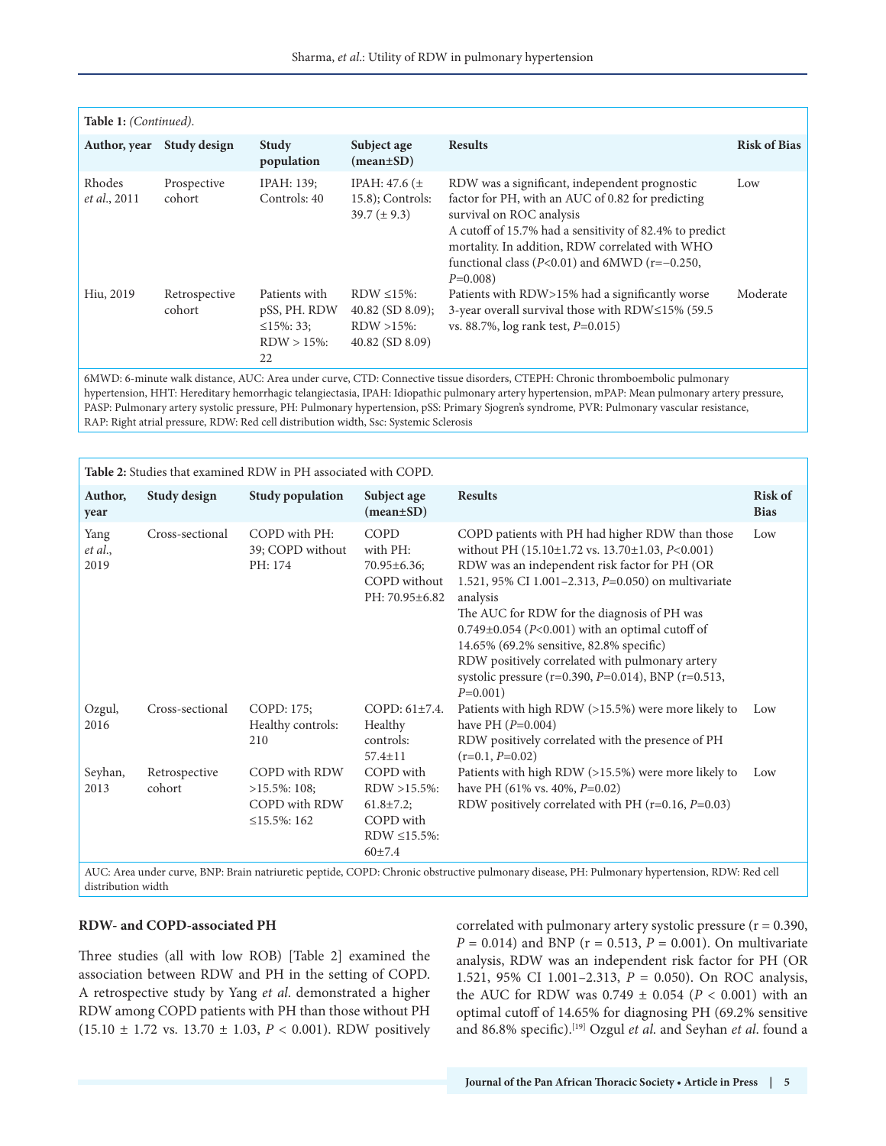| Table 1: (Continued).                                                                                                                                                                                                                                                         |                         |                                                                          |                                                                               |                                                                                                                                                                                                                                                                                                                    |                     |  |
|-------------------------------------------------------------------------------------------------------------------------------------------------------------------------------------------------------------------------------------------------------------------------------|-------------------------|--------------------------------------------------------------------------|-------------------------------------------------------------------------------|--------------------------------------------------------------------------------------------------------------------------------------------------------------------------------------------------------------------------------------------------------------------------------------------------------------------|---------------------|--|
| Author, year                                                                                                                                                                                                                                                                  | Study design            | <b>Study</b><br>population                                               | Subject age<br>$(mean \pm SD)$                                                | <b>Results</b>                                                                                                                                                                                                                                                                                                     | <b>Risk of Bias</b> |  |
| Rhodes<br>et al., 2011                                                                                                                                                                                                                                                        | Prospective<br>cohort   | IPAH: 139;<br>Controls: 40                                               | IPAH: $47.6$ ( $\pm$<br>$15.8$ ; Controls:<br>39.7 $(\pm 9.3)$                | RDW was a significant, independent prognostic<br>factor for PH, with an AUC of 0.82 for predicting<br>survival on ROC analysis<br>A cutoff of 15.7% had a sensitivity of 82.4% to predict<br>mortality. In addition, RDW correlated with WHO<br>functional class ( $P<0.01$ ) and 6MWD ( $r=-0.250$ ,<br>$P=0.008$ | Low                 |  |
| Hiu, 2019                                                                                                                                                                                                                                                                     | Retrospective<br>cohort | Patients with<br>pSS, PH. RDW<br>$\leq$ 15%: 33:<br>$RDW > 15\%$ :<br>22 | RDW $\leq$ 15%:<br>$40.82$ (SD $8.09$ );<br>$RDW > 15\%$ :<br>40.82 (SD 8.09) | Patients with RDW>15% had a significantly worse<br>3-year overall survival those with RDW≤15% (59.5<br>vs. 88.7%, $log$ rank test, $P=0.015$ )                                                                                                                                                                     | Moderate            |  |
| 6MWD: 6-minute walk distance, AUC: Area under curve, CTD: Connective tissue disorders, CTEPH: Chronic thromboembolic pulmonary<br>bypartension HHT. Hereditary hemorrhagic telangiectasia IDAH, Idionathic pulmonary artery hypertension mPAD, Mean pulmonary artery pressure |                         |                                                                          |                                                                               |                                                                                                                                                                                                                                                                                                                    |                     |  |

ension, HHT: Hereditary hemorrhagic telangiectasia, IPAH: Idiopathic pulmonary artery hypertension, mPAP: Mean pulmonary artery pressure, PASP: Pulmonary artery systolic pressure, PH: Pulmonary hypertension, pSS: Primary Sjogren's syndrome, PVR: Pulmonary vascular resistance, RAP: Right atrial pressure, RDW: Red cell distribution width, Ssc: Systemic Sclerosis

| Table 2: Studies that examined RDW in PH associated with COPD.                                                                                                                                                                |                                                                                                                                                                                                                                                                                                                                                                                                                                                                                                              |                               |  |  |  |  |
|-------------------------------------------------------------------------------------------------------------------------------------------------------------------------------------------------------------------------------|--------------------------------------------------------------------------------------------------------------------------------------------------------------------------------------------------------------------------------------------------------------------------------------------------------------------------------------------------------------------------------------------------------------------------------------------------------------------------------------------------------------|-------------------------------|--|--|--|--|
| Author,<br>Study design<br><b>Study population</b><br>Subject age<br>$(mean \pm SD)$<br>year                                                                                                                                  | <b>Results</b>                                                                                                                                                                                                                                                                                                                                                                                                                                                                                               | <b>Risk of</b><br><b>Bias</b> |  |  |  |  |
| COPD with PH:<br>COPD<br>Cross-sectional<br>Yang<br>with PH:<br>39; COPD without<br>et al.,<br>2019<br>PH: 174<br>70.95±6.36;<br>COPD without<br>PH: 70.95±6.82                                                               | COPD patients with PH had higher RDW than those<br>without PH (15.10±1.72 vs. 13.70±1.03, P<0.001)<br>RDW was an independent risk factor for PH (OR<br>1.521, 95% CI 1.001-2.313, P=0.050) on multivariate<br>analysis<br>The AUC for RDW for the diagnosis of PH was<br>$0.749\pm0.054$ (P<0.001) with an optimal cutoff of<br>14.65% (69.2% sensitive, 82.8% specific)<br>RDW positively correlated with pulmonary artery<br>systolic pressure ( $r=0.390$ , $P=0.014$ ), BNP ( $r=0.513$ ,<br>$P=0.001$ ) | Low                           |  |  |  |  |
| Cross-sectional<br>COPD: 175;<br>Ozgul,<br>COPD: $61\pm7.4$ .<br>Healthy controls:<br>2016<br>Healthy<br>controls:<br>210<br>$57.4 \pm 11$                                                                                    | Patients with high RDW $(>15.5%)$ were more likely to<br>have PH $(P=0.004)$<br>RDW positively correlated with the presence of PH<br>$(r=0.1, P=0.02)$                                                                                                                                                                                                                                                                                                                                                       | Low                           |  |  |  |  |
| Seyhan,<br><b>COPD</b> with RDW<br>COPD with<br>Retrospective<br>cohort<br>$RDW > 15.5\%$ :<br>2013<br>$>15.5\%$ : 108;<br>COPD with RDW<br>$61.8 \pm 7.2$ ;<br>$\leq$ 15.5%: 162<br>COPD with<br>RDW $\leq$ 15.5%:<br>60±7.4 | Patients with high RDW $(>15.5%)$ were more likely to<br>have PH $(61\% \text{ vs. } 40\%, P=0.02)$<br>RDW positively correlated with PH $(r=0.16, P=0.03)$                                                                                                                                                                                                                                                                                                                                                  | Low                           |  |  |  |  |

COPD: Chronic obstructive pulmonary disease, PH: Pulmonary hypertension, RDW: Red cell distribution width

#### **RDW- and COPD-associated PH**

Three studies (all with low ROB) [Table 2] examined the association between RDW and PH in the setting of COPD. A retrospective study by Yang *et al*. demonstrated a higher RDW among COPD patients with PH than those without PH (15.10 ± 1.72 vs. 13.70 ± 1.03, *P* < 0.001). RDW positively correlated with pulmonary artery systolic pressure ( $r = 0.390$ ,  $P = 0.014$ ) and BNP ( $r = 0.513$ ,  $P = 0.001$ ). On multivariate analysis, RDW was an independent risk factor for PH (OR 1.521, 95% CI 1.001–2.313, *P* = 0.050). On ROC analysis, the AUC for RDW was 0.749 ± 0.054 (*P* < 0.001) with an optimal cutoff of 14.65% for diagnosing PH (69.2% sensitive and 86.8% specific).[19] Ozgul *et al*. and Seyhan *et al*. found a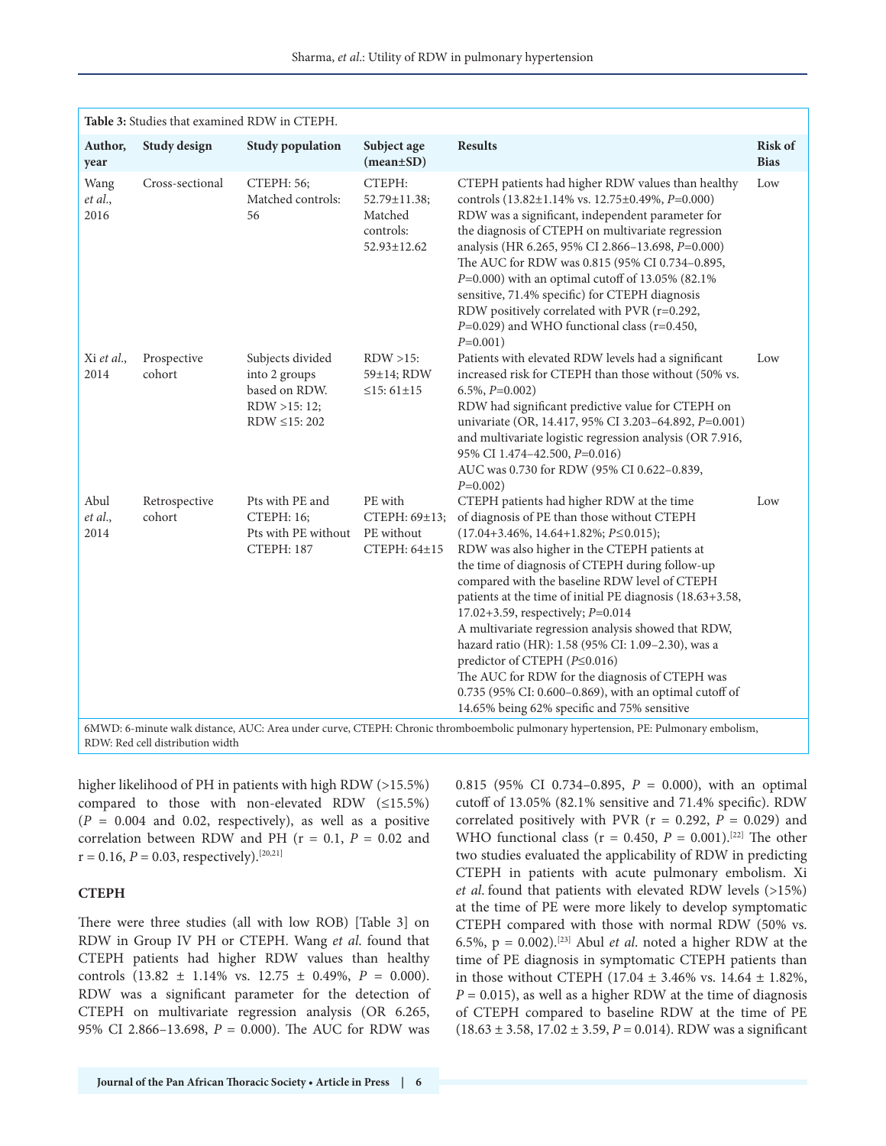| Table 3: Studies that examined RDW in CTEPH.                                                                                                          |                         |                                                                                          |                                                               |                                                                                                                                                                                                                                                                                                                                                                                                                                                                                                                                                                                                                                                                                                              |                               |  |
|-------------------------------------------------------------------------------------------------------------------------------------------------------|-------------------------|------------------------------------------------------------------------------------------|---------------------------------------------------------------|--------------------------------------------------------------------------------------------------------------------------------------------------------------------------------------------------------------------------------------------------------------------------------------------------------------------------------------------------------------------------------------------------------------------------------------------------------------------------------------------------------------------------------------------------------------------------------------------------------------------------------------------------------------------------------------------------------------|-------------------------------|--|
| Author,<br>year                                                                                                                                       | Study design            | <b>Study population</b>                                                                  | Subject age<br>$(mean \pm SD)$                                | <b>Results</b>                                                                                                                                                                                                                                                                                                                                                                                                                                                                                                                                                                                                                                                                                               | <b>Risk of</b><br><b>Bias</b> |  |
| Wang<br>et al.,<br>2016                                                                                                                               | Cross-sectional         | CTEPH: 56;<br>Matched controls:<br>56                                                    | CTEPH:<br>52.79±11.38;<br>Matched<br>controls:<br>52.93±12.62 | CTEPH patients had higher RDW values than healthy<br>controls (13.82±1.14% vs. 12.75±0.49%, P=0.000)<br>RDW was a significant, independent parameter for<br>the diagnosis of CTEPH on multivariate regression<br>analysis (HR 6.265, 95% CI 2.866-13.698, P=0.000)<br>The AUC for RDW was 0.815 (95% CI 0.734-0.895,<br>$P=0.000$ ) with an optimal cutoff of 13.05% (82.1%)<br>sensitive, 71.4% specific) for CTEPH diagnosis<br>RDW positively correlated with PVR (r=0.292,<br>$P=0.029$ ) and WHO functional class (r=0.450,<br>$P=0.001$ )                                                                                                                                                              | Low                           |  |
| Xi et al.,<br>2014                                                                                                                                    | Prospective<br>cohort   | Subjects divided<br>into 2 groups<br>based on RDW.<br>RDW >15: 12;<br>RDW $\leq$ 15: 202 | $RDW > 15$ :<br>59±14; RDW<br>$\leq$ 15: 61±15                | Patients with elevated RDW levels had a significant<br>increased risk for CTEPH than those without (50% vs.<br>$6.5\%, P=0.002$<br>RDW had significant predictive value for CTEPH on<br>univariate (OR, 14.417, 95% CI 3.203-64.892, P=0.001)<br>and multivariate logistic regression analysis (OR 7.916,<br>95% CI 1.474-42.500, P=0.016)<br>AUC was 0.730 for RDW (95% CI 0.622-0.839,<br>$P=0.002$ )                                                                                                                                                                                                                                                                                                      | Low                           |  |
| Abul<br>et al.,<br>2014                                                                                                                               | Retrospective<br>cohort | Pts with PE and<br>CTEPH: 16;<br>Pts with PE without<br><b>CTEPH: 187</b>                | PE with<br>CTEPH: 69±13;<br>PE without<br>CTEPH: 64±15        | CTEPH patients had higher RDW at the time<br>of diagnosis of PE than those without CTEPH<br>$(17.04+3.46\%, 14.64+1.82\%; P \le 0.015);$<br>RDW was also higher in the CTEPH patients at<br>the time of diagnosis of CTEPH during follow-up<br>compared with the baseline RDW level of CTEPH<br>patients at the time of initial PE diagnosis (18.63+3.58,<br>17.02+3.59, respectively; P=0.014<br>A multivariate regression analysis showed that RDW,<br>hazard ratio (HR): 1.58 (95% CI: 1.09-2.30), was a<br>predictor of CTEPH $(P \le 0.016)$<br>The AUC for RDW for the diagnosis of CTEPH was<br>0.735 (95% CI: 0.600-0.869), with an optimal cutoff of<br>14.65% being 62% specific and 75% sensitive | Low                           |  |
| $\epsilon$ MWD: $\epsilon$ -minute walk distance. AUC: Area under curve. CTEPH: Chronic thromboembolic pulmonary hypertension. PF: Pulmonary embolism |                         |                                                                                          |                                                               |                                                                                                                                                                                                                                                                                                                                                                                                                                                                                                                                                                                                                                                                                                              |                               |  |

6MWD: 6-minute walk distance, AUC: Area under curve, CTEPH: Chronic thromboembolic pulmonary hypertension, PE: Pulmonary embolism, RDW: Red cell distribution width

higher likelihood of PH in patients with high RDW (>15.5%) compared to those with non-elevated RDW  $(\leq15.5\%)$  $(P = 0.004$  and 0.02, respectively), as well as a positive correlation between RDW and PH ( $r = 0.1$ ,  $P = 0.02$  and  $r = 0.16$ ,  $P = 0.03$ , respectively).<sup>[20,21]</sup>

#### **CTEPH**

There were three studies (all with low ROB) [Table 3] on RDW in Group IV PH or CTEPH. Wang *et al*. found that CTEPH patients had higher RDW values than healthy controls (13.82 ± 1.14% vs. 12.75 ± 0.49%, *P* = 0.000). RDW was a significant parameter for the detection of CTEPH on multivariate regression analysis (OR 6.265, 95% CI 2.866–13.698, *P* = 0.000). The AUC for RDW was 0.815 (95% CI 0.734–0.895, *P* = 0.000), with an optimal cutoff of 13.05% (82.1% sensitive and 71.4% specific). RDW correlated positively with PVR ( $r = 0.292$ ,  $P = 0.029$ ) and WHO functional class ( $r = 0.450$ ,  $P = 0.001$ ).<sup>[22]</sup> The other two studies evaluated the applicability of RDW in predicting CTEPH in patients with acute pulmonary embolism. Xi *et al*. found that patients with elevated RDW levels (>15%) at the time of PE were more likely to develop symptomatic CTEPH compared with those with normal RDW (50% vs. 6.5%,  $p = 0.002$ .<sup>[23]</sup> Abul *et al.* noted a higher RDW at the time of PE diagnosis in symptomatic CTEPH patients than in those without CTEPH (17.04 ± 3.46% vs. 14.64 ± 1.82%,  $P = 0.015$ , as well as a higher RDW at the time of diagnosis of CTEPH compared to baseline RDW at the time of PE (18.63 ± 3.58, 17.02 ± 3.59, *P* = 0.014). RDW was a significant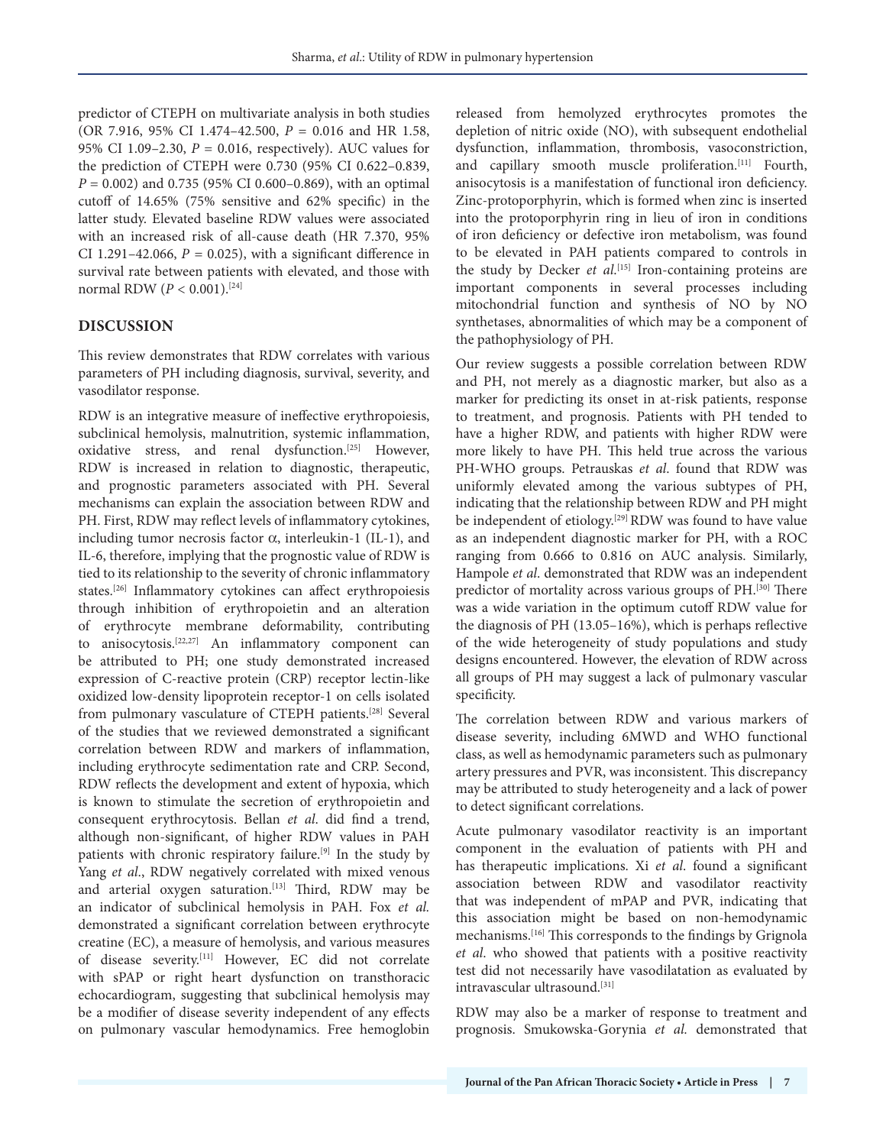predictor of CTEPH on multivariate analysis in both studies (OR 7.916, 95% CI 1.474–42.500, *P* = 0.016 and HR 1.58, 95% CI 1.09–2.30, *P* = 0.016, respectively). AUC values for the prediction of CTEPH were 0.730 (95% CI 0.622–0.839, *P* = 0.002) and 0.735 (95% CI 0.600–0.869), with an optimal cutoff of 14.65% (75% sensitive and 62% specific) in the latter study. Elevated baseline RDW values were associated with an increased risk of all-cause death (HR 7.370, 95% CI 1.291-42.066,  $P = 0.025$ ), with a significant difference in survival rate between patients with elevated, and those with normal RDW (*P* < 0.001).[24]

## **DISCUSSION**

This review demonstrates that RDW correlates with various parameters of PH including diagnosis, survival, severity, and vasodilator response.

RDW is an integrative measure of ineffective erythropoiesis, subclinical hemolysis, malnutrition, systemic inflammation, oxidative stress, and renal dysfunction.[25] However, RDW is increased in relation to diagnostic, therapeutic, and prognostic parameters associated with PH. Several mechanisms can explain the association between RDW and PH. First, RDW may reflect levels of inflammatory cytokines, including tumor necrosis factor  $\alpha$ , interleukin-1 (IL-1), and IL-6, therefore, implying that the prognostic value of RDW is tied to its relationship to the severity of chronic inflammatory states.[26] Inflammatory cytokines can affect erythropoiesis through inhibition of erythropoietin and an alteration of erythrocyte membrane deformability, contributing to anisocytosis.[22,27] An inflammatory component can be attributed to PH; one study demonstrated increased expression of C-reactive protein (CRP) receptor lectin-like oxidized low-density lipoprotein receptor-1 on cells isolated from pulmonary vasculature of CTEPH patients.[28] Several of the studies that we reviewed demonstrated a significant correlation between RDW and markers of inflammation, including erythrocyte sedimentation rate and CRP. Second, RDW reflects the development and extent of hypoxia, which is known to stimulate the secretion of erythropoietin and consequent erythrocytosis. Bellan *et al*. did find a trend, although non-significant, of higher RDW values in PAH patients with chronic respiratory failure.<sup>[9]</sup> In the study by Yang *et al*., RDW negatively correlated with mixed venous and arterial oxygen saturation.<sup>[13]</sup> Third, RDW may be an indicator of subclinical hemolysis in PAH. Fox *et al.* demonstrated a significant correlation between erythrocyte creatine (EC), a measure of hemolysis, and various measures of disease severity.[11] However, EC did not correlate with sPAP or right heart dysfunction on transthoracic echocardiogram, suggesting that subclinical hemolysis may be a modifier of disease severity independent of any effects on pulmonary vascular hemodynamics. Free hemoglobin

released from hemolyzed erythrocytes promotes the depletion of nitric oxide (NO), with subsequent endothelial dysfunction, inflammation, thrombosis, vasoconstriction, and capillary smooth muscle proliferation.<sup>[11]</sup> Fourth, anisocytosis is a manifestation of functional iron deficiency. Zinc-protoporphyrin, which is formed when zinc is inserted into the protoporphyrin ring in lieu of iron in conditions of iron deficiency or defective iron metabolism, was found to be elevated in PAH patients compared to controls in the study by Decker *et al*. [15] Iron-containing proteins are important components in several processes including mitochondrial function and synthesis of NO by NO synthetases, abnormalities of which may be a component of the pathophysiology of PH.

Our review suggests a possible correlation between RDW and PH, not merely as a diagnostic marker, but also as a marker for predicting its onset in at-risk patients, response to treatment, and prognosis. Patients with PH tended to have a higher RDW, and patients with higher RDW were more likely to have PH. This held true across the various PH-WHO groups. Petrauskas *et al*. found that RDW was uniformly elevated among the various subtypes of PH, indicating that the relationship between RDW and PH might be independent of etiology.<sup>[29]</sup> RDW was found to have value as an independent diagnostic marker for PH, with a ROC ranging from 0.666 to 0.816 on AUC analysis. Similarly, Hampole *et al*. demonstrated that RDW was an independent predictor of mortality across various groups of PH.<sup>[30]</sup> There was a wide variation in the optimum cutoff RDW value for the diagnosis of PH (13.05–16%), which is perhaps reflective of the wide heterogeneity of study populations and study designs encountered. However, the elevation of RDW across all groups of PH may suggest a lack of pulmonary vascular specificity.

The correlation between RDW and various markers of disease severity, including 6MWD and WHO functional class, as well as hemodynamic parameters such as pulmonary artery pressures and PVR, was inconsistent. This discrepancy may be attributed to study heterogeneity and a lack of power to detect significant correlations.

Acute pulmonary vasodilator reactivity is an important component in the evaluation of patients with PH and has therapeutic implications. Xi *et al*. found a significant association between RDW and vasodilator reactivity that was independent of mPAP and PVR, indicating that this association might be based on non-hemodynamic mechanisms.[16] This corresponds to the findings by Grignola *et al*. who showed that patients with a positive reactivity test did not necessarily have vasodilatation as evaluated by intravascular ultrasound.[31]

RDW may also be a marker of response to treatment and prognosis. Smukowska-Gorynia *et al.* demonstrated that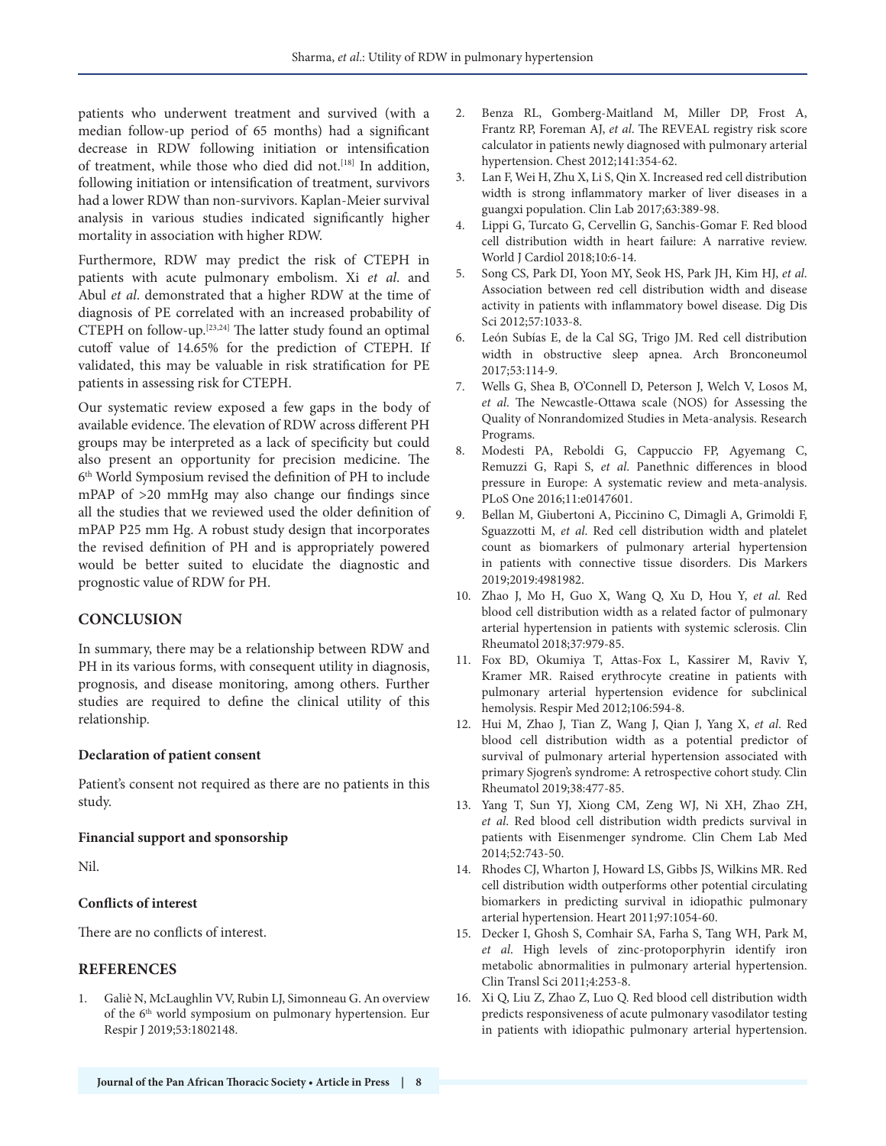patients who underwent treatment and survived (with a median follow-up period of 65 months) had a significant decrease in RDW following initiation or intensification of treatment, while those who died did not.<sup>[18]</sup> In addition, following initiation or intensification of treatment, survivors had a lower RDW than non-survivors. Kaplan-Meier survival analysis in various studies indicated significantly higher mortality in association with higher RDW.

Furthermore, RDW may predict the risk of CTEPH in patients with acute pulmonary embolism. Xi *et al*. and Abul *et al*. demonstrated that a higher RDW at the time of diagnosis of PE correlated with an increased probability of CTEPH on follow-up.[23,24] The latter study found an optimal cutoff value of 14.65% for the prediction of CTEPH. If validated, this may be valuable in risk stratification for PE patients in assessing risk for CTEPH.

Our systematic review exposed a few gaps in the body of available evidence. The elevation of RDW across different PH groups may be interpreted as a lack of specificity but could also present an opportunity for precision medicine. The 6th World Symposium revised the definition of PH to include mPAP of >20 mmHg may also change our findings since all the studies that we reviewed used the older definition of mPAP P25 mm Hg. A robust study design that incorporates the revised definition of PH and is appropriately powered would be better suited to elucidate the diagnostic and prognostic value of RDW for PH.

## **CONCLUSION**

In summary, there may be a relationship between RDW and PH in its various forms, with consequent utility in diagnosis, prognosis, and disease monitoring, among others. Further studies are required to define the clinical utility of this relationship.

#### **Declaration of patient consent**

Patient's consent not required as there are no patients in this study.

#### **Financial support and sponsorship**

Nil.

#### **Conflicts of interest**

There are no conflicts of interest.

#### **REFERENCES**

1. Galiè N, McLaughlin VV, Rubin LJ, Simonneau G. An overview of the 6<sup>th</sup> world symposium on pulmonary hypertension. Eur Respir J 2019;53:1802148.

- 2. Benza RL, Gomberg-Maitland M, Miller DP, Frost A, Frantz RP, Foreman AJ, *et al*. The REVEAL registry risk score calculator in patients newly diagnosed with pulmonary arterial hypertension. Chest 2012;141:354-62.
- 3. Lan F, Wei H, Zhu X, Li S, Qin X. Increased red cell distribution width is strong inflammatory marker of liver diseases in a guangxi population. Clin Lab 2017;63:389-98.
- 4. Lippi G, Turcato G, Cervellin G, Sanchis-Gomar F. Red blood cell distribution width in heart failure: A narrative review. World J Cardiol 2018;10:6-14.
- 5. Song CS, Park DI, Yoon MY, Seok HS, Park JH, Kim HJ, *et al*. Association between red cell distribution width and disease activity in patients with inflammatory bowel disease. Dig Dis Sci 2012;57:1033-8.
- 6. León Subías E, de la Cal SG, Trigo JM. Red cell distribution width in obstructive sleep apnea. Arch Bronconeumol 2017;53:114-9.
- 7. Wells G, Shea B, O'Connell D, Peterson J, Welch V, Losos M, *et al*. The Newcastle-Ottawa scale (NOS) for Assessing the Quality of Nonrandomized Studies in Meta-analysis. Research Programs.
- 8. Modesti PA, Reboldi G, Cappuccio FP, Agyemang C, Remuzzi G, Rapi S, *et al*. Panethnic differences in blood pressure in Europe: A systematic review and meta-analysis. PLoS One 2016;11:e0147601.
- 9. Bellan M, Giubertoni A, Piccinino C, Dimagli A, Grimoldi F, Sguazzotti M, *et al*. Red cell distribution width and platelet count as biomarkers of pulmonary arterial hypertension in patients with connective tissue disorders. Dis Markers 2019;2019:4981982.
- 10. Zhao J, Mo H, Guo X, Wang Q, Xu D, Hou Y, *et al*. Red blood cell distribution width as a related factor of pulmonary arterial hypertension in patients with systemic sclerosis. Clin Rheumatol 2018;37:979-85.
- 11. Fox BD, Okumiya T, Attas-Fox L, Kassirer M, Raviv Y, Kramer MR. Raised erythrocyte creatine in patients with pulmonary arterial hypertension evidence for subclinical hemolysis. Respir Med 2012;106:594-8.
- 12. Hui M, Zhao J, Tian Z, Wang J, Qian J, Yang X, *et al*. Red blood cell distribution width as a potential predictor of survival of pulmonary arterial hypertension associated with primary Sjogren's syndrome: A retrospective cohort study. Clin Rheumatol 2019;38:477-85.
- 13. Yang T, Sun YJ, Xiong CM, Zeng WJ, Ni XH, Zhao ZH, *et al*. Red blood cell distribution width predicts survival in patients with Eisenmenger syndrome. Clin Chem Lab Med 2014;52:743-50.
- 14. Rhodes CJ, Wharton J, Howard LS, Gibbs JS, Wilkins MR. Red cell distribution width outperforms other potential circulating biomarkers in predicting survival in idiopathic pulmonary arterial hypertension. Heart 2011;97:1054-60.
- 15. Decker I, Ghosh S, Comhair SA, Farha S, Tang WH, Park M, *et al*. High levels of zinc-protoporphyrin identify iron metabolic abnormalities in pulmonary arterial hypertension. Clin Transl Sci 2011;4:253-8.
- 16. Xi Q, Liu Z, Zhao Z, Luo Q. Red blood cell distribution width predicts responsiveness of acute pulmonary vasodilator testing in patients with idiopathic pulmonary arterial hypertension.